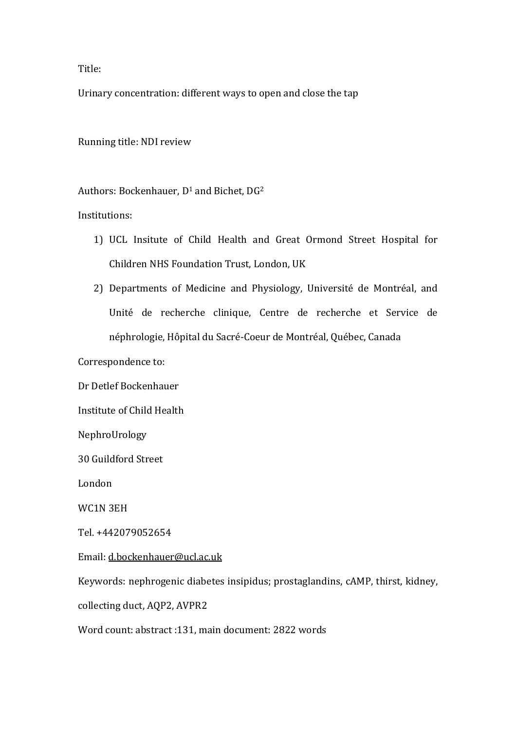Title:

Urinary concentration: different ways to open and close the tap

Running title: NDI review

Authors: Bockenhauer, D<sup>1</sup> and Bichet, DG<sup>2</sup>

Institutions:

- 1) UCL Insitute of Child Health and Great Ormond Street Hospital for Children NHS Foundation Trust, London, UK
- 2) Departments of Medicine and Physiology, Université de Montréal, and Unité de recherche clinique, Centre de recherche et Service de néphrologie, Hôpital du Sacré-Coeur de Montréal, Québec, Canada

Correspondence to:

Dr Detlef Bockenhauer

Institute of Child Health

NephroUrology

30 Guildford Street

London

WC1N 3EH

Tel. +442079052654

Email: [d.bockenhauer@ucl.ac.uk](mailto:d.bockenhauer@ucl.ac.uk)

Keywords: nephrogenic diabetes insipidus; prostaglandins, cAMP, thirst, kidney,

collecting duct, AQP2, AVPR2

Word count: abstract :131, main document: 2822 words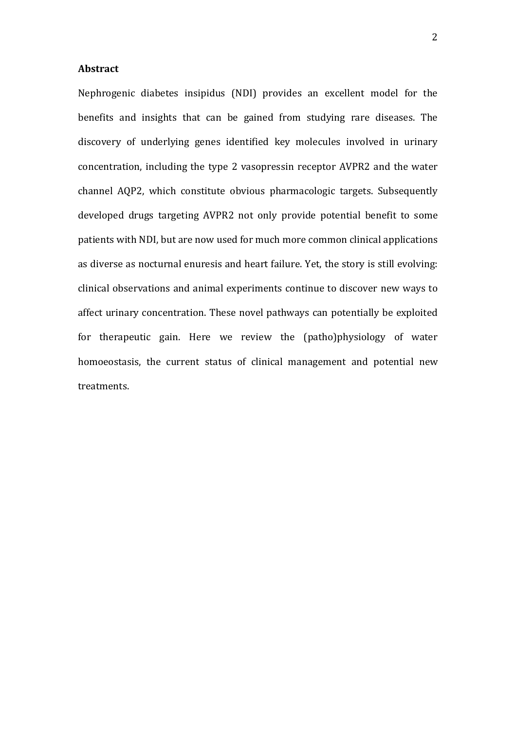### **Abstract**

Nephrogenic diabetes insipidus (NDI) provides an excellent model for the benefits and insights that can be gained from studying rare diseases. The discovery of underlying genes identified key molecules involved in urinary concentration, including the type 2 vasopressin receptor AVPR2 and the water channel AQP2, which constitute obvious pharmacologic targets. Subsequently developed drugs targeting AVPR2 not only provide potential benefit to some patients with NDI, but are now used for much more common clinical applications as diverse as nocturnal enuresis and heart failure. Yet, the story is still evolving: clinical observations and animal experiments continue to discover new ways to affect urinary concentration. These novel pathways can potentially be exploited for therapeutic gain. Here we review the (patho)physiology of water homoeostasis, the current status of clinical management and potential new treatments.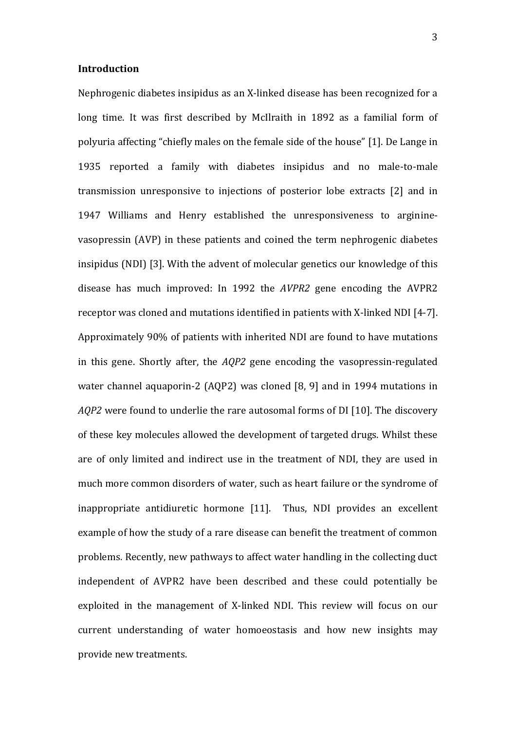### **Introduction**

Nephrogenic diabetes insipidus as an X-linked disease has been recognized for a long time. It was first described by McIlraith in 1892 as a familial form of polyuria affecting "chiefly males on the female side of the house" [\[1\]](#page-15-0). De Lange in 1935 reported a family with diabetes insipidus and no male-to-male transmission unresponsive to injections of posterior lobe extracts [\[2\]](#page-15-1) and in 1947 Williams and Henry established the unresponsiveness to argininevasopressin (AVP) in these patients and coined the term nephrogenic diabetes insipidus (NDI) [\[3\]](#page-15-2). With the advent of molecular genetics our knowledge of this disease has much improved: In 1992 the *AVPR2* gene encoding the AVPR2 receptor was cloned and mutations identified in patients with X-linked NDI [\[4-7\]](#page-15-3). Approximately 90% of patients with inherited NDI are found to have mutations in this gene. Shortly after, the *AQP2* gene encoding the vasopressin-regulated water channel aquaporin-2 (AQP2) was cloned [\[8,](#page-15-4) [9\]](#page-15-5) and in 1994 mutations in *AQP2* were found to underlie the rare autosomal forms of DI [\[10\]](#page-15-6). The discovery of these key molecules allowed the development of targeted drugs. Whilst these are of only limited and indirect use in the treatment of NDI, they are used in much more common disorders of water, such as heart failure or the syndrome of inappropriate antidiuretic hormone [\[11\]](#page-15-7). Thus, NDI provides an excellent example of how the study of a rare disease can benefit the treatment of common problems. Recently, new pathways to affect water handling in the collecting duct independent of AVPR2 have been described and these could potentially be exploited in the management of X-linked NDI. This review will focus on our current understanding of water homoeostasis and how new insights may provide new treatments.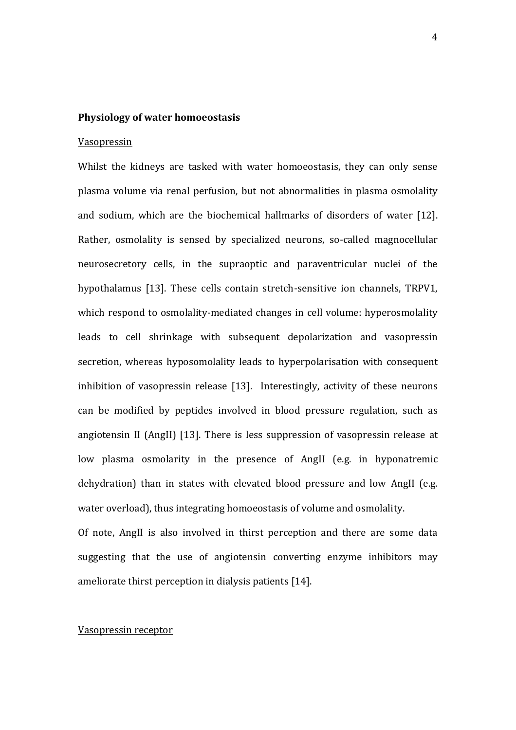### **Physiology of water homoeostasis**

## Vasopressin

Whilst the kidneys are tasked with water homoeostasis, they can only sense plasma volume via renal perfusion, but not abnormalities in plasma osmolality and sodium, which are the biochemical hallmarks of disorders of water [\[12\]](#page-15-8). Rather, osmolality is sensed by specialized neurons, so-called magnocellular neurosecretory cells, in the supraoptic and paraventricular nuclei of the hypothalamus [\[13\]](#page-15-9). These cells contain stretch-sensitive ion channels, TRPV1, which respond to osmolality-mediated changes in cell volume: hyperosmolality leads to cell shrinkage with subsequent depolarization and vasopressin secretion, whereas hyposomolality leads to hyperpolarisation with consequent inhibition of vasopressin release [\[13\]](#page-15-9). Interestingly, activity of these neurons can be modified by peptides involved in blood pressure regulation, such as angiotensin II (AngII) [\[13\]](#page-15-9). There is less suppression of vasopressin release at low plasma osmolarity in the presence of AngII (e.g. in hyponatremic dehydration) than in states with elevated blood pressure and low AngII (e.g. water overload), thus integrating homoeostasis of volume and osmolality.

Of note, AngII is also involved in thirst perception and there are some data suggesting that the use of angiotensin converting enzyme inhibitors may ameliorate thirst perception in dialysis patients [\[14\]](#page-15-10).

### Vasopressin receptor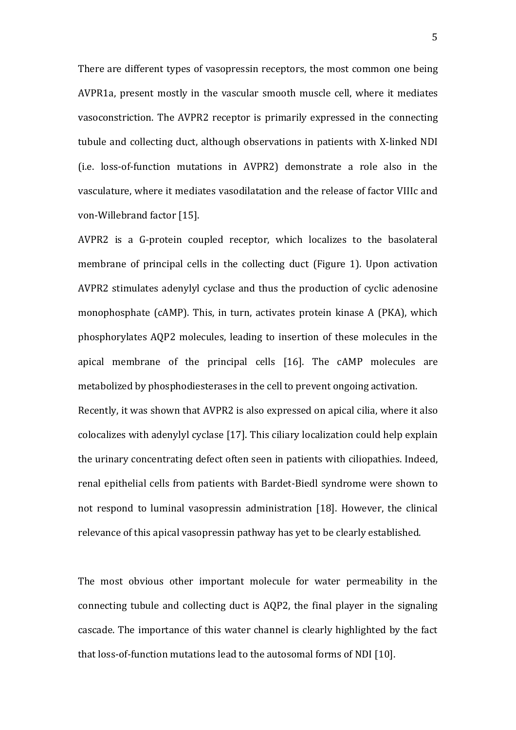There are different types of vasopressin receptors, the most common one being AVPR1a, present mostly in the vascular smooth muscle cell, where it mediates vasoconstriction. The AVPR2 receptor is primarily expressed in the connecting tubule and collecting duct, although observations in patients with X-linked NDI (i.e. loss-of-function mutations in AVPR2) demonstrate a role also in the vasculature, where it mediates vasodilatation and the release of factor VIIIc and von-Willebrand factor [\[15\]](#page-15-11).

AVPR2 is a G-protein coupled receptor, which localizes to the basolateral membrane of principal cells in the collecting duct (Figure 1). Upon activation AVPR2 stimulates adenylyl cyclase and thus the production of cyclic adenosine monophosphate (cAMP). This, in turn, activates protein kinase A (PKA), which phosphorylates AQP2 molecules, leading to insertion of these molecules in the apical membrane of the principal cells [\[16\]](#page-16-0). The cAMP molecules are metabolized by phosphodiesterases in the cell to prevent ongoing activation. Recently, it was shown that AVPR2 is also expressed on apical cilia, where it also colocalizes with adenylyl cyclase [\[17\]](#page-16-1). This ciliary localization could help explain the urinary concentrating defect often seen in patients with ciliopathies. Indeed, renal epithelial cells from patients with Bardet-Biedl syndrome were shown to not respond to luminal vasopressin administration [\[18\]](#page-16-2). However, the clinical relevance of this apical vasopressin pathway has yet to be clearly established.

The most obvious other important molecule for water permeability in the connecting tubule and collecting duct is AQP2, the final player in the signaling cascade. The importance of this water channel is clearly highlighted by the fact that loss-of-function mutations lead to the autosomal forms of NDI [\[10\]](#page-15-6).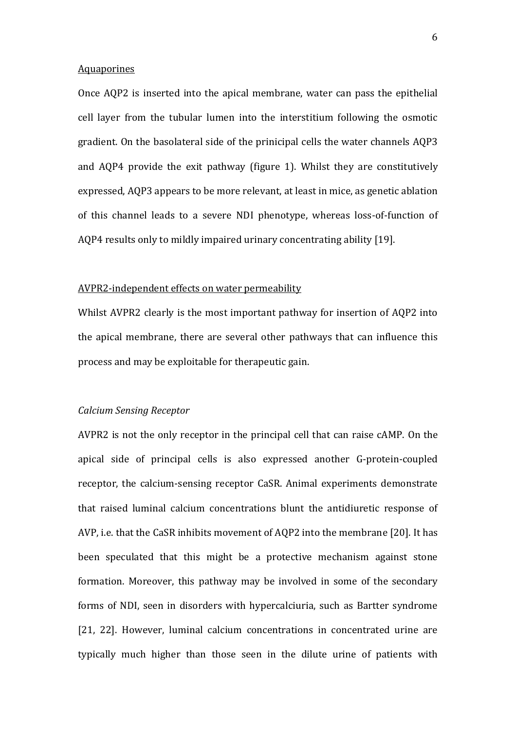#### **Aquaporines**

Once AQP2 is inserted into the apical membrane, water can pass the epithelial cell layer from the tubular lumen into the interstitium following the osmotic gradient. On the basolateral side of the prinicipal cells the water channels AQP3 and AQP4 provide the exit pathway (figure 1). Whilst they are constitutively expressed, AQP3 appears to be more relevant, at least in mice, as genetic ablation of this channel leads to a severe NDI phenotype, whereas loss-of-function of AQP4 results only to mildly impaired urinary concentrating ability [\[19\]](#page-16-3).

### AVPR2-independent effects on water permeability

Whilst AVPR2 clearly is the most important pathway for insertion of AQP2 into the apical membrane, there are several other pathways that can influence this process and may be exploitable for therapeutic gain.

#### *Calcium Sensing Receptor*

AVPR2 is not the only receptor in the principal cell that can raise cAMP. On the apical side of principal cells is also expressed another G-protein-coupled receptor, the calcium-sensing receptor CaSR. Animal experiments demonstrate that raised luminal calcium concentrations blunt the antidiuretic response of AVP, i.e. that the CaSR inhibits movement of AQP2 into the membrane [\[20\]](#page-16-4). It has been speculated that this might be a protective mechanism against stone formation. Moreover, this pathway may be involved in some of the secondary forms of NDI, seen in disorders with hypercalciuria, such as Bartter syndrome [\[21,](#page-16-5) [22\]](#page-16-6). However, luminal calcium concentrations in concentrated urine are typically much higher than those seen in the dilute urine of patients with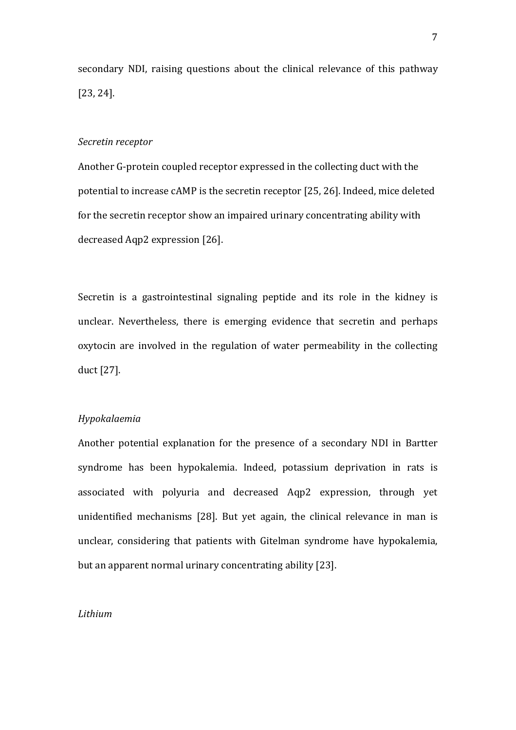secondary NDI, raising questions about the clinical relevance of this pathway [\[23,](#page-16-7) [24\]](#page-16-8).

## *Secretin receptor*

Another G-protein coupled receptor expressed in the collecting duct with the potential to increase cAMP is the secretin receptor [\[25,](#page-16-9) [26\]](#page-16-10). Indeed, mice deleted for the secretin receptor show an impaired urinary concentrating ability with decreased Aqp2 expression [\[26\]](#page-16-10).

Secretin is a gastrointestinal signaling peptide and its role in the kidney is unclear. Nevertheless, there is emerging evidence that secretin and perhaps oxytocin are involved in the regulation of water permeability in the collecting duct [\[27\]](#page-16-11).

## *Hypokalaemia*

Another potential explanation for the presence of a secondary NDI in Bartter syndrome has been hypokalemia. Indeed, potassium deprivation in rats is associated with polyuria and decreased Aqp2 expression, through yet unidentified mechanisms [\[28\]](#page-16-12). But yet again, the clinical relevance in man is unclear, considering that patients with Gitelman syndrome have hypokalemia, but an apparent normal urinary concentrating ability [\[23\]](#page-16-7).

## *Lithium*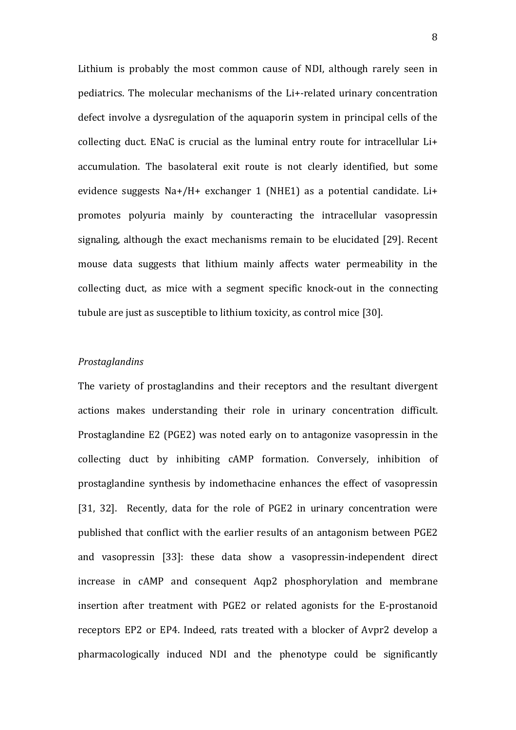Lithium is probably the most common cause of NDI, although rarely seen in pediatrics. The molecular mechanisms of the Li+-related urinary concentration defect involve a dysregulation of the aquaporin system in principal cells of the collecting duct. ENaC is crucial as the luminal entry route for intracellular Li+ accumulation. The basolateral exit route is not clearly identified, but some evidence suggests Na+/H+ exchanger 1 (NHE1) as a potential candidate. Li+ promotes polyuria mainly by counteracting the intracellular vasopressin signaling, although the exact mechanisms remain to be elucidated [\[29\]](#page-16-13). Recent mouse data suggests that lithium mainly affects water permeability in the collecting duct, as mice with a segment specific knock-out in the connecting tubule are just as susceptible to lithium toxicity, as control mice [\[30\]](#page-17-0).

### *Prostaglandins*

The variety of prostaglandins and their receptors and the resultant divergent actions makes understanding their role in urinary concentration difficult. Prostaglandine E2 (PGE2) was noted early on to antagonize vasopressin in the collecting duct by inhibiting cAMP formation. Conversely, inhibition of prostaglandine synthesis by indomethacine enhances the effect of vasopressin [\[31,](#page-17-1) [32\]](#page-17-2). Recently, data for the role of PGE2 in urinary concentration were published that conflict with the earlier results of an antagonism between PGE2 and vasopressin [\[33\]](#page-17-3): these data show a vasopressin-independent direct increase in cAMP and consequent Aqp2 phosphorylation and membrane insertion after treatment with PGE2 or related agonists for the E-prostanoid receptors EP2 or EP4. Indeed, rats treated with a blocker of Avpr2 develop a pharmacologically induced NDI and the phenotype could be significantly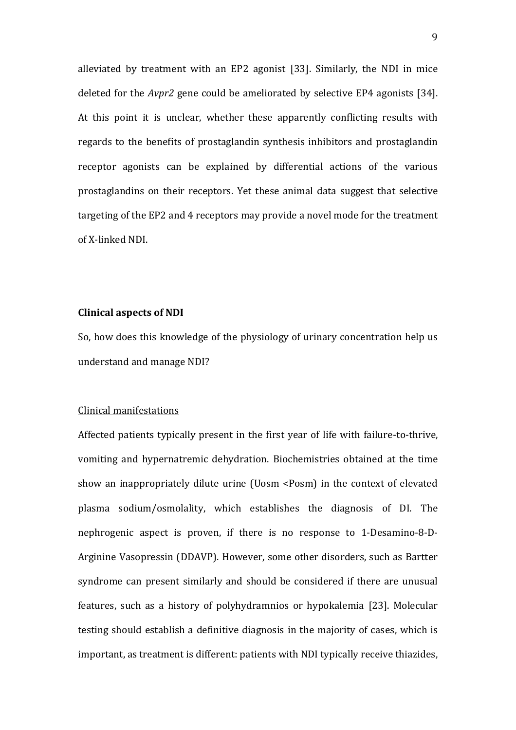alleviated by treatment with an EP2 agonist [\[33\]](#page-17-3). Similarly, the NDI in mice deleted for the *Avpr2* gene could be ameliorated by selective EP4 agonists [\[34\]](#page-17-4). At this point it is unclear, whether these apparently conflicting results with regards to the benefits of prostaglandin synthesis inhibitors and prostaglandin receptor agonists can be explained by differential actions of the various prostaglandins on their receptors. Yet these animal data suggest that selective targeting of the EP2 and 4 receptors may provide a novel mode for the treatment of X-linked NDI.

## **Clinical aspects of NDI**

So, how does this knowledge of the physiology of urinary concentration help us understand and manage NDI?

### Clinical manifestations

Affected patients typically present in the first year of life with failure-to-thrive, vomiting and hypernatremic dehydration. Biochemistries obtained at the time show an inappropriately dilute urine (Uosm <Posm) in the context of elevated plasma sodium/osmolality, which establishes the diagnosis of DI. The nephrogenic aspect is proven, if there is no response to 1-Desamino-8-D-Arginine Vasopressin (DDAVP). However, some other disorders, such as Bartter syndrome can present similarly and should be considered if there are unusual features, such as a history of polyhydramnios or hypokalemia [\[23\]](#page-16-7). Molecular testing should establish a definitive diagnosis in the majority of cases, which is important, as treatment is different: patients with NDI typically receive thiazides,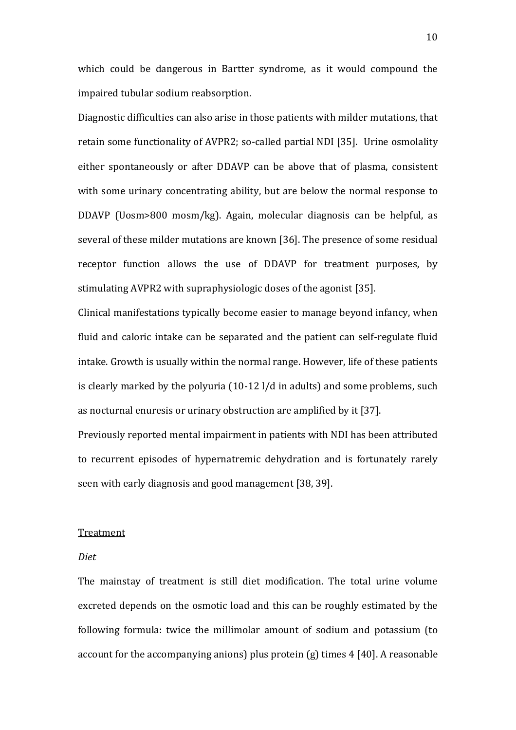which could be dangerous in Bartter syndrome, as it would compound the impaired tubular sodium reabsorption.

Diagnostic difficulties can also arise in those patients with milder mutations, that retain some functionality of AVPR2; so-called partial NDI [\[35\]](#page-17-5). Urine osmolality either spontaneously or after DDAVP can be above that of plasma, consistent with some urinary concentrating ability, but are below the normal response to DDAVP (Uosm>800 mosm/kg). Again, molecular diagnosis can be helpful, as several of these milder mutations are known [\[36\]](#page-17-6). The presence of some residual receptor function allows the use of DDAVP for treatment purposes, by stimulating AVPR2 with supraphysiologic doses of the agonist [\[35\]](#page-17-5).

Clinical manifestations typically become easier to manage beyond infancy, when fluid and caloric intake can be separated and the patient can self-regulate fluid intake. Growth is usually within the normal range. However, life of these patients is clearly marked by the polyuria (10-12 l/d in adults) and some problems, such as nocturnal enuresis or urinary obstruction are amplified by it [\[37\]](#page-17-7).

Previously reported mental impairment in patients with NDI has been attributed to recurrent episodes of hypernatremic dehydration and is fortunately rarely seen with early diagnosis and good management [\[38,](#page-17-8) [39\]](#page-17-9).

#### Treatment

### *Diet*

The mainstay of treatment is still diet modification. The total urine volume excreted depends on the osmotic load and this can be roughly estimated by the following formula: twice the millimolar amount of sodium and potassium (to account for the accompanying anions) plus protein (g) times 4 [\[40\]](#page-17-10). A reasonable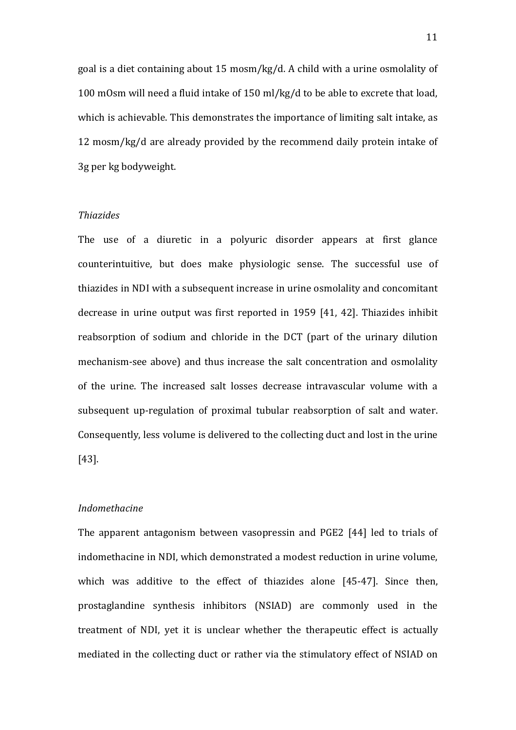goal is a diet containing about 15 mosm/kg/d. A child with a urine osmolality of 100 mOsm will need a fluid intake of 150 ml/kg/d to be able to excrete that load, which is achievable. This demonstrates the importance of limiting salt intake, as 12 mosm/kg/d are already provided by the recommend daily protein intake of 3g per kg bodyweight.

# *Thiazides*

The use of a diuretic in a polyuric disorder appears at first glance counterintuitive, but does make physiologic sense. The successful use of thiazides in NDI with a subsequent increase in urine osmolality and concomitant decrease in urine output was first reported in 1959 [\[41,](#page-17-11) [42\]](#page-17-12). Thiazides inhibit reabsorption of sodium and chloride in the DCT (part of the urinary dilution mechanism-see above) and thus increase the salt concentration and osmolality of the urine. The increased salt losses decrease intravascular volume with a subsequent up-regulation of proximal tubular reabsorption of salt and water. Consequently, less volume is delivered to the collecting duct and lost in the urine [\[43\]](#page-17-13).

## *Indomethacine*

The apparent antagonism between vasopressin and PGE2 [\[44\]](#page-17-14) led to trials of indomethacine in NDI, which demonstrated a modest reduction in urine volume, which was additive to the effect of thiazides alone [\[45-47\]](#page-18-0). Since then, prostaglandine synthesis inhibitors (NSIAD) are commonly used in the treatment of NDI, yet it is unclear whether the therapeutic effect is actually mediated in the collecting duct or rather via the stimulatory effect of NSIAD on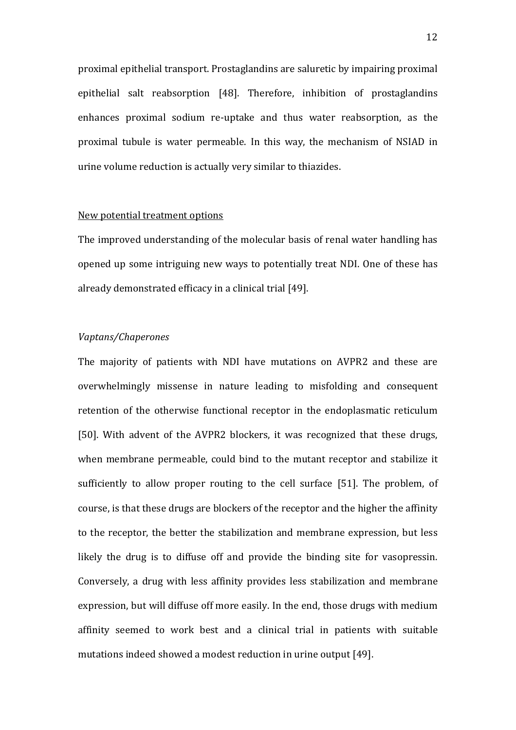proximal epithelial transport. Prostaglandins are saluretic by impairing proximal epithelial salt reabsorption [\[48\]](#page-18-1). Therefore, inhibition of prostaglandins enhances proximal sodium re-uptake and thus water reabsorption, as the proximal tubule is water permeable. In this way, the mechanism of NSIAD in urine volume reduction is actually very similar to thiazides.

### New potential treatment options

The improved understanding of the molecular basis of renal water handling has opened up some intriguing new ways to potentially treat NDI. One of these has already demonstrated efficacy in a clinical trial [\[49\]](#page-18-2).

## *Vaptans/Chaperones*

The majority of patients with NDI have mutations on AVPR2 and these are overwhelmingly missense in nature leading to misfolding and consequent retention of the otherwise functional receptor in the endoplasmatic reticulum [\[50\]](#page-18-3). With advent of the AVPR2 blockers, it was recognized that these drugs, when membrane permeable, could bind to the mutant receptor and stabilize it sufficiently to allow proper routing to the cell surface [\[51\]](#page-18-4). The problem, of course, is that these drugs are blockers of the receptor and the higher the affinity to the receptor, the better the stabilization and membrane expression, but less likely the drug is to diffuse off and provide the binding site for vasopressin. Conversely, a drug with less affinity provides less stabilization and membrane expression, but will diffuse off more easily. In the end, those drugs with medium affinity seemed to work best and a clinical trial in patients with suitable mutations indeed showed a modest reduction in urine output [\[49\]](#page-18-2).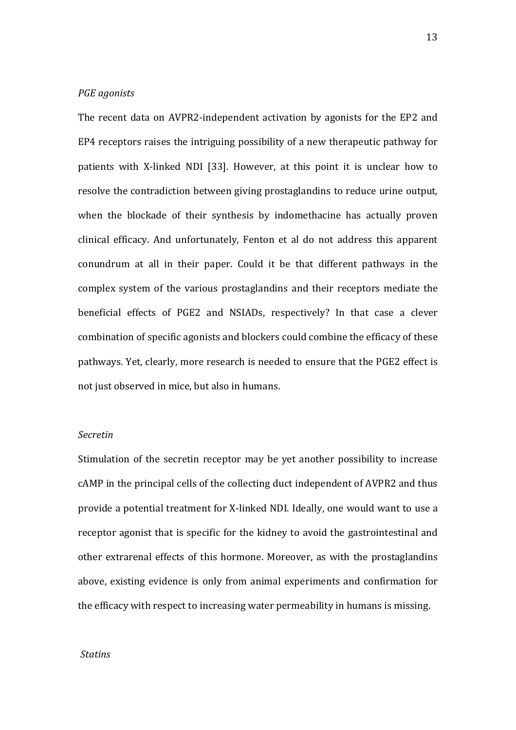## *PGE agonists*

The recent data on AVPR2-independent activation by agonists for the EP2 and EP4 receptors raises the intriguing possibility of a new therapeutic pathway for patients with X-linked NDI [\[33\]](#page-17-3). However, at this point it is unclear how to resolve the contradiction between giving prostaglandins to reduce urine output, when the blockade of their synthesis by indomethacine has actually proven clinical efficacy. And unfortunately, Fenton et al do not address this apparent conundrum at all in their paper. Could it be that different pathways in the complex system of the various prostaglandins and their receptors mediate the beneficial effects of PGE2 and NSIADs, respectively? In that case a clever combination of specific agonists and blockers could combine the efficacy of these pathways. Yet, clearly, more research is needed to ensure that the PGE2 effect is not just observed in mice, but also in humans.

## *Secretin*

Stimulation of the secretin receptor may be yet another possibility to increase cAMP in the principal cells of the collecting duct independent of AVPR2 and thus provide a potential treatment for X-linked NDI. Ideally, one would want to use a receptor agonist that is specific for the kidney to avoid the gastrointestinal and other extrarenal effects of this hormone. Moreover, as with the prostaglandins above, existing evidence is only from animal experiments and confirmation for the efficacy with respect to increasing water permeability in humans is missing.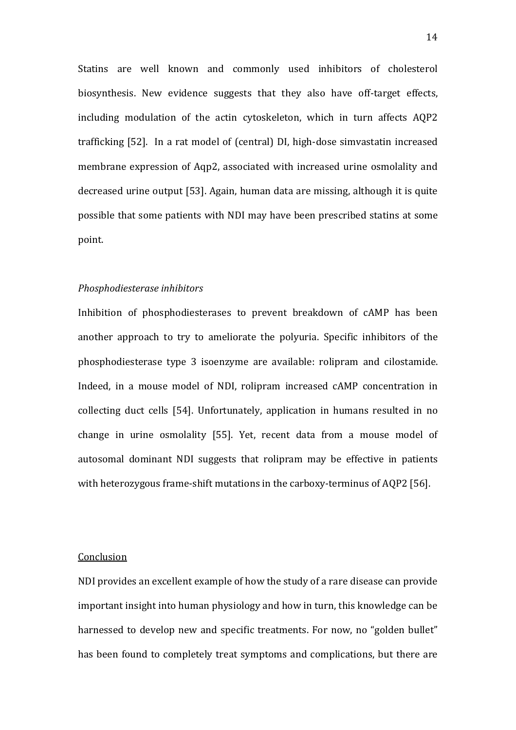Statins are well known and commonly used inhibitors of cholesterol biosynthesis. New evidence suggests that they also have off-target effects, including modulation of the actin cytoskeleton, which in turn affects AQP2 trafficking [\[52\]](#page-18-5). In a rat model of (central) DI, high-dose simvastatin increased membrane expression of Aqp2, associated with increased urine osmolality and decreased urine output [\[53\]](#page-18-6). Again, human data are missing, although it is quite possible that some patients with NDI may have been prescribed statins at some point.

#### *Phosphodiesterase inhibitors*

Inhibition of phosphodiesterases to prevent breakdown of cAMP has been another approach to try to ameliorate the polyuria. Specific inhibitors of the phosphodiesterase type 3 isoenzyme are available: rolipram and cilostamide. Indeed, in a mouse model of NDI, rolipram increased cAMP concentration in collecting duct cells [\[54\]](#page-18-7). Unfortunately, application in humans resulted in no change in urine osmolality [\[55\]](#page-18-8). Yet, recent data from a mouse model of autosomal dominant NDI suggests that rolipram may be effective in patients with heterozygous frame-shift mutations in the carboxy-terminus of AQP2 [\[56\]](#page-18-9).

## Conclusion

NDI provides an excellent example of how the study of a rare disease can provide important insight into human physiology and how in turn, this knowledge can be harnessed to develop new and specific treatments. For now, no "golden bullet" has been found to completely treat symptoms and complications, but there are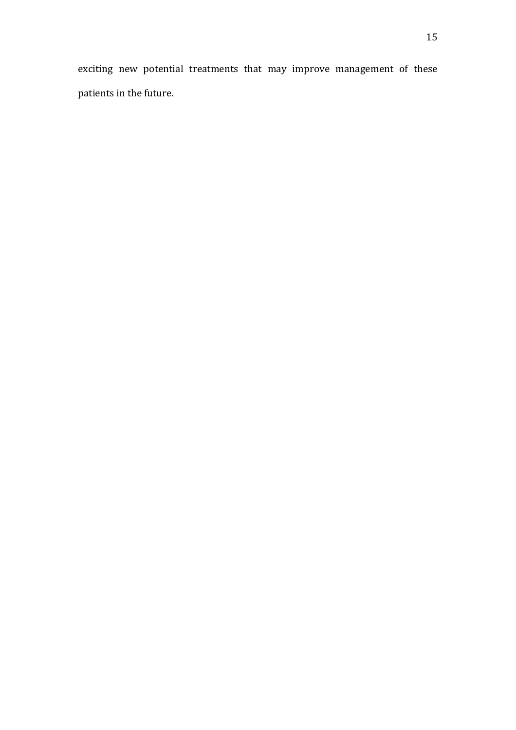exciting new potential treatments that may improve management of these patients in the future.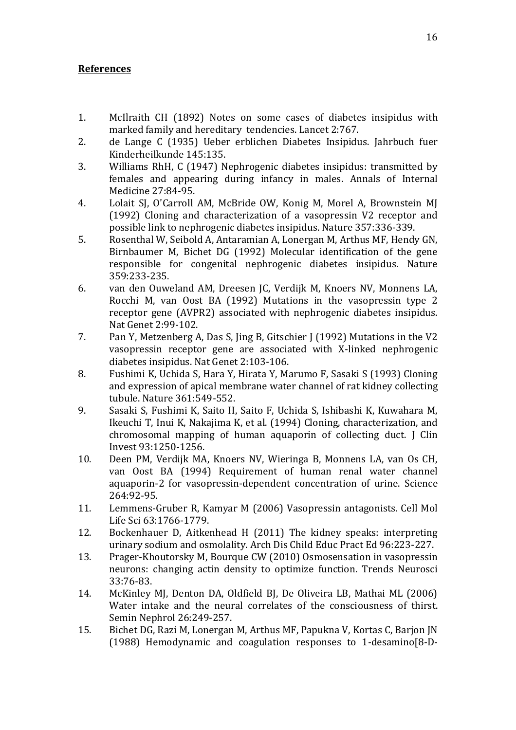# **References**

- <span id="page-15-0"></span>1. McIlraith CH (1892) Notes on some cases of diabetes insipidus with marked family and hereditary tendencies. Lancet 2:767.
- <span id="page-15-1"></span>2. de Lange C (1935) Ueber erblichen Diabetes Insipidus. Jahrbuch fuer Kinderheilkunde 145:135.
- <span id="page-15-2"></span>3. Williams RhH, C (1947) Nephrogenic diabetes insipidus: transmitted by females and appearing during infancy in males. Annals of Internal Medicine 27:84-95.
- <span id="page-15-3"></span>4. Lolait SJ, O'Carroll AM, McBride OW, Konig M, Morel A, Brownstein MJ (1992) Cloning and characterization of a vasopressin V2 receptor and possible link to nephrogenic diabetes insipidus. Nature 357:336-339.
- 5. Rosenthal W, Seibold A, Antaramian A, Lonergan M, Arthus MF, Hendy GN, Birnbaumer M, Bichet DG (1992) Molecular identification of the gene responsible for congenital nephrogenic diabetes insipidus. Nature 359:233-235.
- 6. van den Ouweland AM, Dreesen JC, Verdijk M, Knoers NV, Monnens LA, Rocchi M, van Oost BA (1992) Mutations in the vasopressin type 2 receptor gene (AVPR2) associated with nephrogenic diabetes insipidus. Nat Genet 2:99-102.
- 7. Pan Y, Metzenberg A, Das S, Jing B, Gitschier J (1992) Mutations in the V2 vasopressin receptor gene are associated with X-linked nephrogenic diabetes insipidus. Nat Genet 2:103-106.
- <span id="page-15-4"></span>8. Fushimi K, Uchida S, Hara Y, Hirata Y, Marumo F, Sasaki S (1993) Cloning and expression of apical membrane water channel of rat kidney collecting tubule. Nature 361:549-552.
- <span id="page-15-5"></span>9. Sasaki S, Fushimi K, Saito H, Saito F, Uchida S, Ishibashi K, Kuwahara M, Ikeuchi T, Inui K, Nakajima K, et al. (1994) Cloning, characterization, and chromosomal mapping of human aquaporin of collecting duct. J Clin Invest 93:1250-1256.
- <span id="page-15-6"></span>10. Deen PM, Verdijk MA, Knoers NV, Wieringa B, Monnens LA, van Os CH, van Oost BA (1994) Requirement of human renal water channel aquaporin-2 for vasopressin-dependent concentration of urine. Science 264:92-95.
- <span id="page-15-7"></span>11. Lemmens-Gruber R, Kamyar M (2006) Vasopressin antagonists. Cell Mol Life Sci 63:1766-1779.
- <span id="page-15-8"></span>12. Bockenhauer D, Aitkenhead H (2011) The kidney speaks: interpreting urinary sodium and osmolality. Arch Dis Child Educ Pract Ed 96:223-227.
- <span id="page-15-9"></span>13. Prager-Khoutorsky M, Bourque CW (2010) Osmosensation in vasopressin neurons: changing actin density to optimize function. Trends Neurosci 33:76-83.
- <span id="page-15-10"></span>14. McKinley MJ, Denton DA, Oldfield BJ, De Oliveira LB, Mathai ML (2006) Water intake and the neural correlates of the consciousness of thirst. Semin Nephrol 26:249-257.
- <span id="page-15-11"></span>15. Bichet DG, Razi M, Lonergan M, Arthus MF, Papukna V, Kortas C, Barjon JN (1988) Hemodynamic and coagulation responses to 1-desamino[8-D-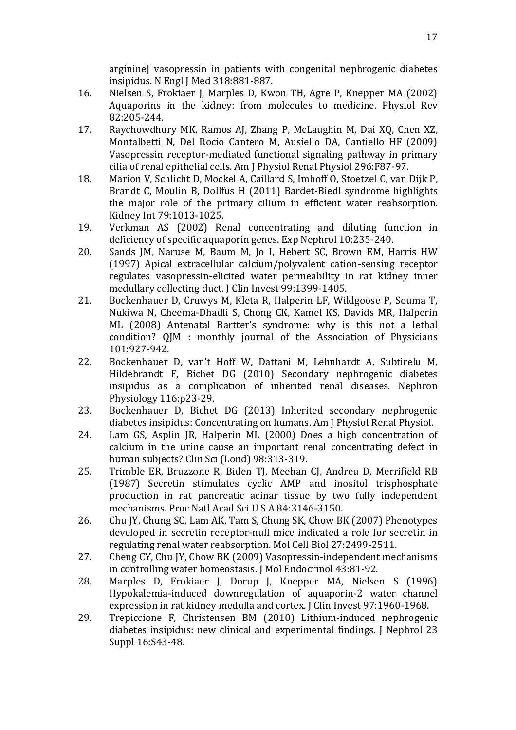arginine] vasopressin in patients with congenital nephrogenic diabetes insipidus. N Engl J Med 318:881-887.

- <span id="page-16-0"></span>16. Nielsen S, Frokiaer J, Marples D, Kwon TH, Agre P, Knepper MA (2002) Aquaporins in the kidney: from molecules to medicine. Physiol Rev 82:205-244.
- <span id="page-16-1"></span>17. Raychowdhury MK, Ramos AJ, Zhang P, McLaughin M, Dai XQ, Chen XZ, Montalbetti N, Del Rocio Cantero M, Ausiello DA, Cantiello HF (2009) Vasopressin receptor-mediated functional signaling pathway in primary cilia of renal epithelial cells. Am J Physiol Renal Physiol 296:F87-97.
- <span id="page-16-2"></span>18. Marion V, Schlicht D, Mockel A, Caillard S, Imhoff O, Stoetzel C, van Dijk P, Brandt C, Moulin B, Dollfus H (2011) Bardet-Biedl syndrome highlights the major role of the primary cilium in efficient water reabsorption. Kidney Int 79:1013-1025.
- <span id="page-16-3"></span>19. Verkman AS (2002) Renal concentrating and diluting function in deficiency of specific aquaporin genes. Exp Nephrol 10:235-240.
- <span id="page-16-4"></span>20. Sands JM, Naruse M, Baum M, Jo I, Hebert SC, Brown EM, Harris HW (1997) Apical extracellular calcium/polyvalent cation-sensing receptor regulates vasopressin-elicited water permeability in rat kidney inner medullary collecting duct. J Clin Invest 99:1399-1405.
- <span id="page-16-5"></span>21. Bockenhauer D, Cruwys M, Kleta R, Halperin LF, Wildgoose P, Souma T, Nukiwa N, Cheema-Dhadli S, Chong CK, Kamel KS, Davids MR, Halperin ML (2008) Antenatal Bartter's syndrome: why is this not a lethal condition? QJM : monthly journal of the Association of Physicians 101:927-942.
- <span id="page-16-6"></span>22. Bockenhauer D, van't Hoff W, Dattani M, Lehnhardt A, Subtirelu M, Hildebrandt F, Bichet DG (2010) Secondary nephrogenic diabetes insipidus as a complication of inherited renal diseases. Nephron Physiology 116:p23-29.
- <span id="page-16-7"></span>23. Bockenhauer D, Bichet DG (2013) Inherited secondary nephrogenic diabetes insipidus: Concentrating on humans. Am J Physiol Renal Physiol.
- <span id="page-16-8"></span>24. Lam GS, Asplin JR, Halperin ML (2000) Does a high concentration of calcium in the urine cause an important renal concentrating defect in human subjects? Clin Sci (Lond) 98:313-319.
- <span id="page-16-9"></span>25. Trimble ER, Bruzzone R, Biden TJ, Meehan CJ, Andreu D, Merrifield RB (1987) Secretin stimulates cyclic AMP and inositol trisphosphate production in rat pancreatic acinar tissue by two fully independent mechanisms. Proc Natl Acad Sci U S A 84:3146-3150.
- <span id="page-16-10"></span>26. Chu JY, Chung SC, Lam AK, Tam S, Chung SK, Chow BK (2007) Phenotypes developed in secretin receptor-null mice indicated a role for secretin in regulating renal water reabsorption. Mol Cell Biol 27:2499-2511.
- <span id="page-16-11"></span>27. Cheng CY, Chu JY, Chow BK (2009) Vasopressin-independent mechanisms in controlling water homeostasis. J Mol Endocrinol 43:81-92.
- <span id="page-16-12"></span>28. Marples D, Frokiaer J, Dorup J, Knepper MA, Nielsen S (1996) Hypokalemia-induced downregulation of aquaporin-2 water channel expression in rat kidney medulla and cortex. J Clin Invest 97:1960-1968.
- <span id="page-16-13"></span>29. Trepiccione F, Christensen BM (2010) Lithium-induced nephrogenic diabetes insipidus: new clinical and experimental findings. J Nephrol 23 Suppl 16:S43-48.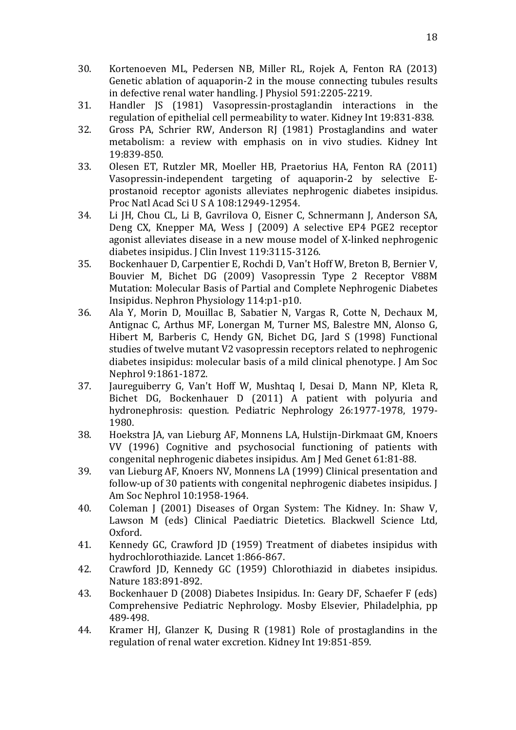- <span id="page-17-0"></span>30. Kortenoeven ML, Pedersen NB, Miller RL, Rojek A, Fenton RA (2013) Genetic ablation of aquaporin-2 in the mouse connecting tubules results in defective renal water handling. J Physiol 591:2205-2219.
- <span id="page-17-1"></span>31. Handler JS (1981) Vasopressin-prostaglandin interactions in the regulation of epithelial cell permeability to water. Kidney Int 19:831-838.
- <span id="page-17-2"></span>32. Gross PA, Schrier RW, Anderson RJ (1981) Prostaglandins and water metabolism: a review with emphasis on in vivo studies. Kidney Int 19:839-850.
- <span id="page-17-3"></span>33. Olesen ET, Rutzler MR, Moeller HB, Praetorius HA, Fenton RA (2011) Vasopressin-independent targeting of aquaporin-2 by selective Eprostanoid receptor agonists alleviates nephrogenic diabetes insipidus. Proc Natl Acad Sci U S A 108:12949-12954.
- <span id="page-17-4"></span>34. Li JH, Chou CL, Li B, Gavrilova O, Eisner C, Schnermann J, Anderson SA, Deng CX, Knepper MA, Wess J (2009) A selective EP4 PGE2 receptor agonist alleviates disease in a new mouse model of X-linked nephrogenic diabetes insipidus. J Clin Invest 119:3115-3126.
- <span id="page-17-5"></span>35. Bockenhauer D, Carpentier E, Rochdi D, Van't Hoff W, Breton B, Bernier V, Bouvier M, Bichet DG (2009) Vasopressin Type 2 Receptor V88M Mutation: Molecular Basis of Partial and Complete Nephrogenic Diabetes Insipidus. Nephron Physiology 114:p1-p10.
- <span id="page-17-6"></span>36. Ala Y, Morin D, Mouillac B, Sabatier N, Vargas R, Cotte N, Dechaux M, Antignac C, Arthus MF, Lonergan M, Turner MS, Balestre MN, Alonso G, Hibert M, Barberis C, Hendy GN, Bichet DG, Jard S (1998) Functional studies of twelve mutant V2 vasopressin receptors related to nephrogenic diabetes insipidus: molecular basis of a mild clinical phenotype. J Am Soc Nephrol 9:1861-1872.
- <span id="page-17-7"></span>37. Jaureguiberry G, Van't Hoff W, Mushtaq I, Desai D, Mann NP, Kleta R, Bichet DG, Bockenhauer D (2011) A patient with polyuria and hydronephrosis: question. Pediatric Nephrology 26:1977-1978, 1979- 1980.
- <span id="page-17-8"></span>38. Hoekstra JA, van Lieburg AF, Monnens LA, Hulstijn-Dirkmaat GM, Knoers VV (1996) Cognitive and psychosocial functioning of patients with congenital nephrogenic diabetes insipidus. Am J Med Genet 61:81-88.
- <span id="page-17-9"></span>39. van Lieburg AF, Knoers NV, Monnens LA (1999) Clinical presentation and follow-up of 30 patients with congenital nephrogenic diabetes insipidus. J Am Soc Nephrol 10:1958-1964.
- <span id="page-17-10"></span>40. Coleman J (2001) Diseases of Organ System: The Kidney. In: Shaw V, Lawson M (eds) Clinical Paediatric Dietetics. Blackwell Science Ltd, Oxford.
- <span id="page-17-11"></span>41. Kennedy GC, Crawford JD (1959) Treatment of diabetes insipidus with hydrochlorothiazide. Lancet 1:866-867.
- <span id="page-17-12"></span>42. Crawford JD, Kennedy GC (1959) Chlorothiazid in diabetes insipidus. Nature 183:891-892.
- <span id="page-17-13"></span>43. Bockenhauer D (2008) Diabetes Insipidus. In: Geary DF, Schaefer F (eds) Comprehensive Pediatric Nephrology. Mosby Elsevier, Philadelphia, pp 489-498.
- <span id="page-17-14"></span>44. Kramer HJ, Glanzer K, Dusing R (1981) Role of prostaglandins in the regulation of renal water excretion. Kidney Int 19:851-859.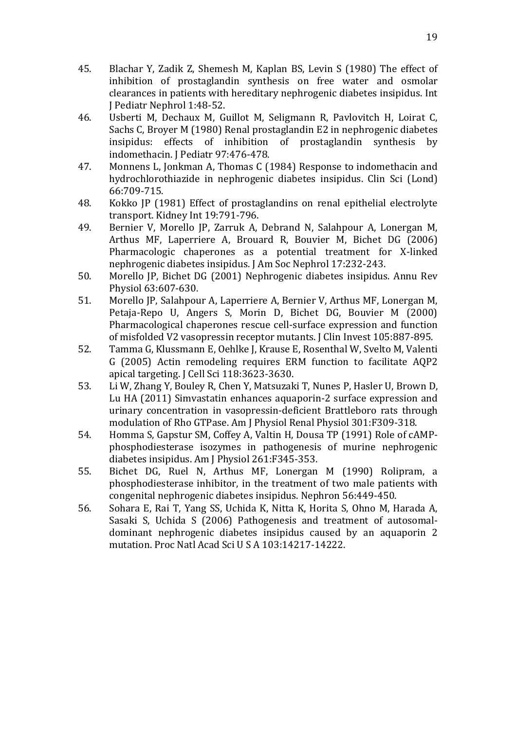- <span id="page-18-0"></span>45. Blachar Y, Zadik Z, Shemesh M, Kaplan BS, Levin S (1980) The effect of inhibition of prostaglandin synthesis on free water and osmolar clearances in patients with hereditary nephrogenic diabetes insipidus. Int J Pediatr Nephrol 1:48-52.
- 46. Usberti M, Dechaux M, Guillot M, Seligmann R, Pavlovitch H, Loirat C, Sachs C, Broyer M (1980) Renal prostaglandin E2 in nephrogenic diabetes insipidus: effects of inhibition of prostaglandin synthesis by indomethacin. J Pediatr 97:476-478.
- 47. Monnens L, Jonkman A, Thomas C (1984) Response to indomethacin and hydrochlorothiazide in nephrogenic diabetes insipidus. Clin Sci (Lond) 66:709-715.
- <span id="page-18-1"></span>48. Kokko JP (1981) Effect of prostaglandins on renal epithelial electrolyte transport. Kidney Int 19:791-796.
- <span id="page-18-2"></span>49. Bernier V, Morello JP, Zarruk A, Debrand N, Salahpour A, Lonergan M, Arthus MF, Laperriere A, Brouard R, Bouvier M, Bichet DG (2006) Pharmacologic chaperones as a potential treatment for X-linked nephrogenic diabetes insipidus. J Am Soc Nephrol 17:232-243.
- <span id="page-18-3"></span>50. Morello JP, Bichet DG (2001) Nephrogenic diabetes insipidus. Annu Rev Physiol 63:607-630.
- <span id="page-18-4"></span>51. Morello JP, Salahpour A, Laperriere A, Bernier V, Arthus MF, Lonergan M, Petaja-Repo U, Angers S, Morin D, Bichet DG, Bouvier M (2000) Pharmacological chaperones rescue cell-surface expression and function of misfolded V2 vasopressin receptor mutants. J Clin Invest 105:887-895.
- <span id="page-18-5"></span>52. Tamma G, Klussmann E, Oehlke J, Krause E, Rosenthal W, Svelto M, Valenti G (2005) Actin remodeling requires ERM function to facilitate AQP2 apical targeting. J Cell Sci 118:3623-3630.
- <span id="page-18-6"></span>53. Li W, Zhang Y, Bouley R, Chen Y, Matsuzaki T, Nunes P, Hasler U, Brown D, Lu HA (2011) Simvastatin enhances aquaporin-2 surface expression and urinary concentration in vasopressin-deficient Brattleboro rats through modulation of Rho GTPase. Am J Physiol Renal Physiol 301:F309-318.
- <span id="page-18-7"></span>54. Homma S, Gapstur SM, Coffey A, Valtin H, Dousa TP (1991) Role of cAMPphosphodiesterase isozymes in pathogenesis of murine nephrogenic diabetes insipidus. Am J Physiol 261:F345-353.
- <span id="page-18-8"></span>55. Bichet DG, Ruel N, Arthus MF, Lonergan M (1990) Rolipram, a phosphodiesterase inhibitor, in the treatment of two male patients with congenital nephrogenic diabetes insipidus. Nephron 56:449-450.
- <span id="page-18-9"></span>56. Sohara E, Rai T, Yang SS, Uchida K, Nitta K, Horita S, Ohno M, Harada A, Sasaki S, Uchida S (2006) Pathogenesis and treatment of autosomaldominant nephrogenic diabetes insipidus caused by an aquaporin 2 mutation. Proc Natl Acad Sci U S A 103:14217-14222.